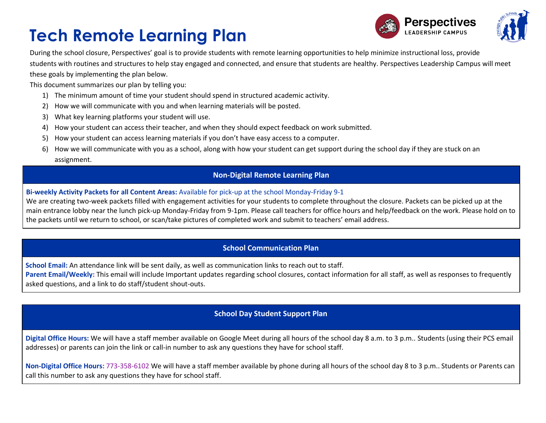



During the school closure, Perspectives' goal is to provide students with remote learning opportunities to help minimize instructional loss, provide students with routines and structures to help stay engaged and connected, and ensure that students are healthy. Perspectives Leadership Campus will meet these goals by implementing the plan below.

This document summarizes our plan by telling you:

- 1) The minimum amount of time your student should spend in structured academic activity.
- 2) How we will communicate with you and when learning materials will be posted.
- 3) What key learning platforms your student will use.
- 4) How your student can access their teacher, and when they should expect feedback on work submitted.
- 5) How your student can access learning materials if you don't have easy access to a computer.
- 6) How we will communicate with you as a school, along with how your student can get support during the school day if they are stuck on an assignment.

#### **Non-Digital Remote Learning Plan**

#### **Bi-weekly Activity Packets for all Content Areas:** Available for pick-up at the school Monday-Friday 9-1

We are creating two-week packets filled with engagement activities for your students to complete throughout the closure. Packets can be picked up at the main entrance lobby near the lunch pick-up Monday-Friday from 9-1pm. Please call teachers for office hours and help/feedback on the work. Please hold on to the packets until we return to school, or scan/take pictures of completed work and submit to teachers' email address.

#### **School Communication Plan**

**School Email:** An attendance link will be sent daily, as well as communication links to reach out to staff.

Parent Email/Weekly: This email will include Important updates regarding school closures, contact information for all staff, as well as responses to frequently asked questions, and a link to do staff/student shout-outs.

### **School Day Student Support Plan**

**Digital Office Hours:** We will have a staff member available on Google Meet during all hours of the school day 8 a.m. to 3 p.m.. Students (using their PCS email addresses) or parents can join the link or call-in number to ask any questions they have for school staff.

**Non-Digital Office Hours:** 773-358-6102 We will have a staff member available by phone during all hours of the school day 8 to 3 p.m.. Students or Parents can call this number to ask any questions they have for school staff.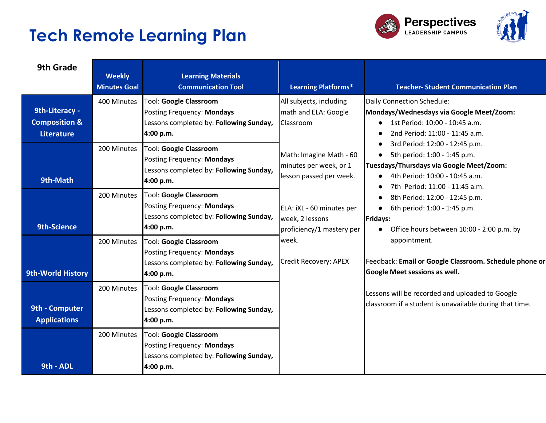



| 9th Grade                                                       | <b>Weekly</b><br><b>Minutes Goal</b> | <b>Learning Materials</b><br><b>Communication Tool</b>                                                              | <b>Learning Platforms*</b>                                                   | <b>Teacher-Student Communication Plan</b>                                                                                                                                    |
|-----------------------------------------------------------------|--------------------------------------|---------------------------------------------------------------------------------------------------------------------|------------------------------------------------------------------------------|------------------------------------------------------------------------------------------------------------------------------------------------------------------------------|
| 9th-Literacy -<br><b>Composition &amp;</b><br><b>Literature</b> | 400 Minutes                          | Tool: Google Classroom<br>Posting Frequency: Mondays<br>Lessons completed by: Following Sunday,<br>4:00 p.m.        | All subjects, including<br>math and ELA: Google<br>Classroom                 | Daily Connection Schedule:<br>Mondays/Wednesdays via Google Meet/Zoom:<br>1st Period: 10:00 - 10:45 a.m.<br>2nd Period: 11:00 - 11:45 a.m.<br>3rd Period: 12:00 - 12:45 p.m. |
| 9th-Math                                                        | 200 Minutes                          | Tool: Google Classroom<br>Posting Frequency: Mondays<br>Lessons completed by: Following Sunday,<br>4:00 p.m.        | Math: Imagine Math - 60<br>minutes per week, or 1<br>lesson passed per week. | 5th period: 1:00 - 1:45 p.m.<br>$\bullet$<br>Tuesdays/Thursdays via Google Meet/Zoom:<br>4th Period: 10:00 - 10:45 a.m.<br>$\bullet$<br>7th Period: 11:00 - 11:45 a.m.       |
| <b>9th-Science</b>                                              | 200 Minutes                          | <b>Tool: Google Classroom</b><br>Posting Frequency: Mondays<br>Lessons completed by: Following Sunday,<br>4:00 p.m. | ELA: iXL - 60 minutes per<br>week, 2 lessons<br>proficiency/1 mastery per    | 8th Period: 12:00 - 12:45 p.m.<br>$\bullet$<br>6th period: 1:00 - 1:45 p.m.<br>Fridays:<br>Office hours between 10:00 - 2:00 p.m. by                                         |
| <b>9th-World History</b>                                        | 200 Minutes                          | Tool: Google Classroom<br>Posting Frequency: Mondays<br>Lessons completed by: Following Sunday,<br>4:00 p.m.        | week.<br>Credit Recovery: APEX                                               | appointment.<br>Feedback: Email or Google Classroom. Schedule phone or<br><b>Google Meet sessions as well.</b>                                                               |
| 9th - Computer<br><b>Applications</b>                           | 200 Minutes                          | <b>Tool: Google Classroom</b><br>Posting Frequency: Mondays<br>Lessons completed by: Following Sunday,<br>4:00 p.m. |                                                                              | Lessons will be recorded and uploaded to Google<br>classroom if a student is unavailable during that time.                                                                   |
| 9th - ADL                                                       | 200 Minutes                          | Tool: Google Classroom<br>Posting Frequency: Mondays<br>Lessons completed by: Following Sunday,<br>4:00 p.m.        |                                                                              |                                                                                                                                                                              |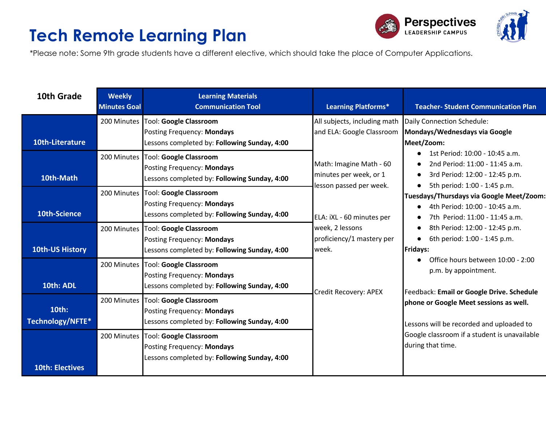



\*Please note: Some 9th grade students have a different elective, which should take the place of Computer Applications.

| 10th Grade                | <b>Weekly</b><br><b>Minutes Goal</b> | <b>Learning Materials</b><br><b>Communication Tool</b>                                                             | <b>Learning Platforms*</b>                                                                                                                                                                                                                               | <b>Teacher-Student Communication Plan</b>                                                                                                                                                                                                                                                                                                                                                                                                                                                                                                                                                                                                                                                                   |
|---------------------------|--------------------------------------|--------------------------------------------------------------------------------------------------------------------|----------------------------------------------------------------------------------------------------------------------------------------------------------------------------------------------------------------------------------------------------------|-------------------------------------------------------------------------------------------------------------------------------------------------------------------------------------------------------------------------------------------------------------------------------------------------------------------------------------------------------------------------------------------------------------------------------------------------------------------------------------------------------------------------------------------------------------------------------------------------------------------------------------------------------------------------------------------------------------|
| 10th-Literature           |                                      | 200 Minutes   Tool: Google Classroom<br>Posting Frequency: Mondays<br>Lessons completed by: Following Sunday, 4:00 | All subjects, including math<br>and ELA: Google Classroom<br>Math: Imagine Math - 60<br>minutes per week, or 1<br>lesson passed per week.<br>ELA: iXL - 60 minutes per<br>week, 2 lessons<br>proficiency/1 mastery per<br>week.<br>Credit Recovery: APEX | Daily Connection Schedule:<br>Mondays/Wednesdays via Google<br>Meet/Zoom:<br>1st Period: 10:00 - 10:45 a.m.<br>2nd Period: 11:00 - 11:45 a.m.<br>3rd Period: 12:00 - 12:45 p.m.<br>$\bullet$<br>5th period: 1:00 - 1:45 p.m.<br>Tuesdays/Thursdays via Google Meet/Zoom:<br>4th Period: 10:00 - 10:45 a.m.<br>7th Period: 11:00 - 11:45 a.m.<br>8th Period: 12:00 - 12:45 p.m.<br>٠<br>6th period: 1:00 - 1:45 p.m.<br><b>Fridays:</b><br>Office hours between 10:00 - 2:00<br>p.m. by appointment.<br>Feedback: Email or Google Drive. Schedule<br>phone or Google Meet sessions as well.<br>Lessons will be recorded and uploaded to<br>Google classroom if a student is unavailable<br>during that time. |
| 10th-Math                 | 200 Minutes                          | <b>Tool: Google Classroom</b><br>Posting Frequency: Mondays<br>Lessons completed by: Following Sunday, 4:00        |                                                                                                                                                                                                                                                          |                                                                                                                                                                                                                                                                                                                                                                                                                                                                                                                                                                                                                                                                                                             |
| 10th-Science              |                                      | 200 Minutes Tool: Google Classroom<br>Posting Frequency: Mondays<br>Lessons completed by: Following Sunday, 4:00   |                                                                                                                                                                                                                                                          |                                                                                                                                                                                                                                                                                                                                                                                                                                                                                                                                                                                                                                                                                                             |
| <b>10th-US History</b>    |                                      | 200 Minutes Tool: Google Classroom<br>Posting Frequency: Mondays<br>Lessons completed by: Following Sunday, 4:00   |                                                                                                                                                                                                                                                          |                                                                                                                                                                                                                                                                                                                                                                                                                                                                                                                                                                                                                                                                                                             |
| 10th: ADL                 |                                      | 200 Minutes Tool: Google Classroom<br>Posting Frequency: Mondays<br>Lessons completed by: Following Sunday, 4:00   |                                                                                                                                                                                                                                                          |                                                                                                                                                                                                                                                                                                                                                                                                                                                                                                                                                                                                                                                                                                             |
| 10th:<br>Technology/NFTE* | 200 Minutes                          | Tool: Google Classroom<br>Posting Frequency: Mondays<br>Lessons completed by: Following Sunday, 4:00               |                                                                                                                                                                                                                                                          |                                                                                                                                                                                                                                                                                                                                                                                                                                                                                                                                                                                                                                                                                                             |
| <b>10th: Electives</b>    | 200 Minutes                          | <b>Tool: Google Classroom</b><br>Posting Frequency: Mondays<br>Lessons completed by: Following Sunday, 4:00        |                                                                                                                                                                                                                                                          |                                                                                                                                                                                                                                                                                                                                                                                                                                                                                                                                                                                                                                                                                                             |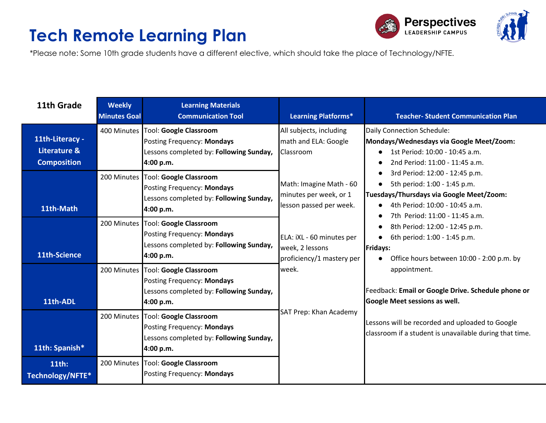



\*Please note: Some 10th grade students have a different elective, which should take the place of Technology/NFTE.

| 11th Grade                                            | <b>Weekly</b><br><b>Minutes Goal</b> | <b>Learning Materials</b><br><b>Communication Tool</b>                                                                     | <b>Learning Platforms*</b>                                                   | <b>Teacher- Student Communication Plan</b>                                                                                                                                                  |
|-------------------------------------------------------|--------------------------------------|----------------------------------------------------------------------------------------------------------------------------|------------------------------------------------------------------------------|---------------------------------------------------------------------------------------------------------------------------------------------------------------------------------------------|
| 11th-Literacy -<br>Literature &<br><b>Composition</b> |                                      | 400 Minutes   Tool: Google Classroom<br>Posting Frequency: Mondays<br>Lessons completed by: Following Sunday,<br>4:00 p.m. | All subjects, including<br>math and ELA: Google<br>Classroom                 | Daily Connection Schedule:<br>Mondays/Wednesdays via Google Meet/Zoom:<br>1st Period: 10:00 - 10:45 a.m.<br>$\bullet$<br>2nd Period: 11:00 - 11:45 a.m.                                     |
| 11th-Math                                             |                                      | 200 Minutes   Tool: Google Classroom<br>Posting Frequency: Mondays<br>Lessons completed by: Following Sunday,<br>4:00 p.m. | Math: Imagine Math - 60<br>minutes per week, or 1<br>lesson passed per week. | 3rd Period: 12:00 - 12:45 p.m.<br>5th period: 1:00 - 1:45 p.m.<br>$\bullet$<br>Tuesdays/Thursdays via Google Meet/Zoom:<br>4th Period: 10:00 - 10:45 a.m.<br>7th Period: 11:00 - 11:45 a.m. |
| 11th-Science                                          |                                      | 200 Minutes   Tool: Google Classroom<br>Posting Frequency: Mondays<br>Lessons completed by: Following Sunday,<br>4:00 p.m. | ELA: iXL - 60 minutes per<br>week, 2 lessons<br>proficiency/1 mastery per    | 8th Period: 12:00 - 12:45 p.m.<br>6th period: 1:00 - 1:45 p.m.<br>$\bullet$<br>Fridays:<br>Office hours between 10:00 - 2:00 p.m. by                                                        |
| 11th-ADL                                              |                                      | 200 Minutes   Tool: Google Classroom<br>Posting Frequency: Mondays<br>Lessons completed by: Following Sunday,<br>4:00 p.m. | week.<br>SAT Prep: Khan Academy                                              | appointment.<br>Feedback: Email or Google Drive. Schedule phone or<br>Google Meet sessions as well.                                                                                         |
| 11th: Spanish*                                        | 200 Minutes                          | <b>Tool: Google Classroom</b><br>Posting Frequency: Mondays<br>Lessons completed by: Following Sunday,<br>4:00 p.m.        |                                                                              | Lessons will be recorded and uploaded to Google<br>classroom if a student is unavailable during that time.                                                                                  |
| 11th:<br>Technology/NFTE*                             | 200 Minutes                          | <b>Tool: Google Classroom</b><br>Posting Frequency: Mondays                                                                |                                                                              |                                                                                                                                                                                             |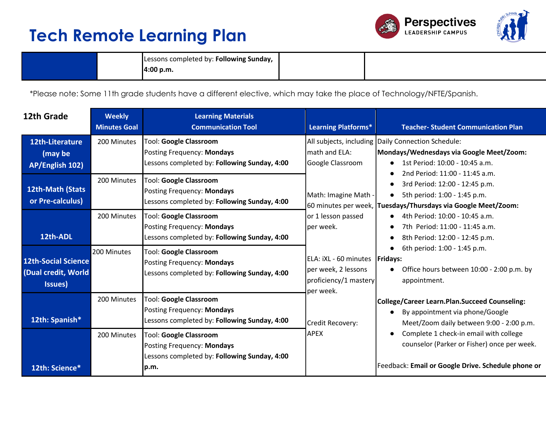



| Lessons completed by: <b>Following Sunday,</b> |  |
|------------------------------------------------|--|
| 4:00 p.m.                                      |  |

\*Please note: Some 11th grade students have a different elective, which may take the place of Technology/NFTE/Spanish.

| 12th Grade                                                   | <b>Weekly</b><br><b>Minutes Goal</b> | <b>Learning Materials</b><br><b>Communication Tool</b>                                                              | <b>Learning Platforms*</b>                                                                    | <b>Teacher- Student Communication Plan</b>                                                                                                                        |
|--------------------------------------------------------------|--------------------------------------|---------------------------------------------------------------------------------------------------------------------|-----------------------------------------------------------------------------------------------|-------------------------------------------------------------------------------------------------------------------------------------------------------------------|
| 12th-Literature<br>(may be<br>AP/English 102)                | 200 Minutes                          | <b>Tool: Google Classroom</b><br>Posting Frequency: Mondays<br>Lessons completed by: Following Sunday, 4:00         | math and ELA:<br>Google Classroom                                                             | All subjects, including Daily Connection Schedule:<br>Mondays/Wednesdays via Google Meet/Zoom:<br>1st Period: 10:00 - 10:45 a.m.                                  |
| 12th-Math (Stats<br>or Pre-calculus)                         | 200 Minutes                          | Tool: Google Classroom<br>Posting Frequency: Mondays<br>Lessons completed by: Following Sunday, 4:00                | Math: Imagine Math -                                                                          | 2nd Period: 11:00 - 11:45 a.m.<br>3rd Period: 12:00 - 12:45 p.m.<br>5th period: 1:00 - 1:45 p.m.<br>60 minutes per week, Tuesdays/Thursdays via Google Meet/Zoom: |
| 12th-ADL                                                     | 200 Minutes                          | <b>Tool: Google Classroom</b><br>Posting Frequency: Mondays<br>Lessons completed by: Following Sunday, 4:00         | or 1 lesson passed<br>per week.                                                               | 4th Period: 10:00 - 10:45 a.m.<br>7th Period: 11:00 - 11:45 a.m.<br>8th Period: 12:00 - 12:45 p.m.                                                                |
| <b>12th-Social Science</b><br>(Dual credit, World<br>Issues) | 200 Minutes                          | Tool: Google Classroom<br>Posting Frequency: Mondays<br>Lessons completed by: Following Sunday, 4:00                | ELA: iXL - 60 minutes   Fridays:<br>per week, 2 lessons<br>proficiency/1 mastery<br>per week. | 6th period: 1:00 - 1:45 p.m.<br>Office hours between 10:00 - 2:00 p.m. by<br>appointment.                                                                         |
| 12th: Spanish*                                               | 200 Minutes                          | <b>Tool: Google Classroom</b><br>Posting Frequency: Mondays<br>Lessons completed by: Following Sunday, 4:00         | Credit Recovery:                                                                              | College/Career Learn.Plan.Succeed Counseling:<br>By appointment via phone/Google<br>Meet/Zoom daily between 9:00 - 2:00 p.m.                                      |
| 12th: Science*                                               | 200 Minutes                          | <b>Tool: Google Classroom</b><br>Posting Frequency: Mondays<br>Lessons completed by: Following Sunday, 4:00<br>p.m. | <b>APEX</b>                                                                                   | Complete 1 check-in email with college<br>counselor (Parker or Fisher) once per week.<br>Feedback: Email or Google Drive. Schedule phone or                       |